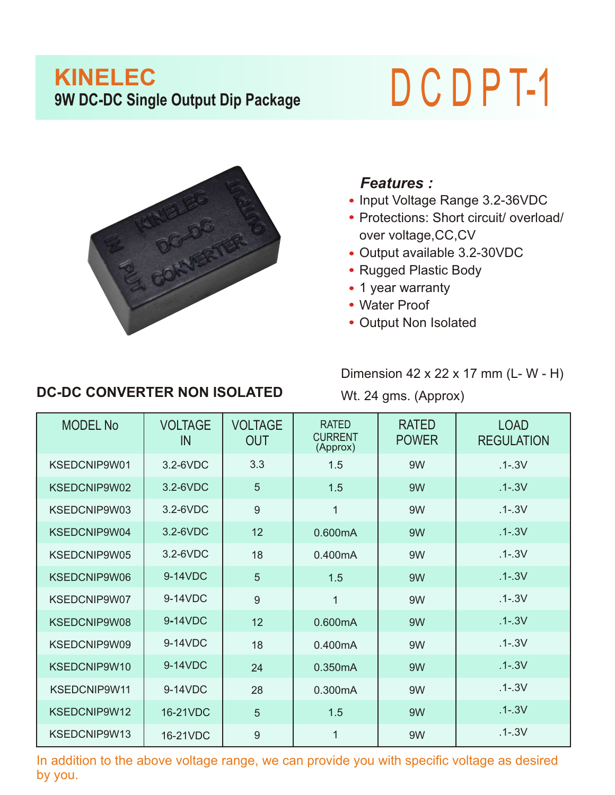## **KINELEC PORT BY DEATH CONTROLLEC**<br> **9W** DC-DC Single Output Dip Package<br> **D C D P T-1**



## *Features :*

- Input Voltage Range 3.2-36VDC
- Protections: Short circuit/ overload/ over voltage,CC,CV
- Output available 3.2-30VDC
- Rugged Plastic Body
- 1 year warranty
- Water Proof
- Output Non Isolated

## **DC-DC CONVERTER NON ISOLATED**

Dimension 42 x 22 x 17 mm (L- W - H)

Wt. 24 gms. (Approx)

| <b>MODEL No</b> | <b>VOLTAGE</b><br>IN | <b>VOLTAGE</b><br><b>OUT</b> | <b>RATED</b><br><b>CURRENT</b><br>(Approx) | <b>RATED</b><br><b>POWER</b> | <b>LOAD</b><br><b>REGULATION</b> |
|-----------------|----------------------|------------------------------|--------------------------------------------|------------------------------|----------------------------------|
| KSEDCNIP9W01    | 3.2-6VDC             | 3.3                          | 1.5                                        | 9W                           | $.1 - .3V$                       |
| KSEDCNIP9W02    | $3.2 - 6$ VDC        | 5                            | 1.5                                        | 9W                           | $.1 - .3V$                       |
| KSEDCNIP9W03    | 3.2-6VDC             | 9                            | 1                                          | 9W                           | $.1 - .3V$                       |
| KSEDCNIP9W04    | 3.2-6VDC             | 12                           | 0.600mA                                    | 9W                           | $.1 - .3V$                       |
| KSEDCNIP9W05    | 3.2-6VDC             | 18                           | 0.400mA                                    | 9W                           | $.1 - .3V$                       |
| KSEDCNIP9W06    | 9-14VDC              | 5                            | 1.5                                        | 9W                           | $.1 - .3V$                       |
| KSEDCNIP9W07    | 9-14VDC              | 9                            | 1                                          | 9W                           | $.1 - .3V$                       |
| KSEDCNIP9W08    | 9-14VDC              | 12                           | 0.600mA                                    | 9W                           | $.1 - .3V$                       |
| KSEDCNIP9W09    | 9-14VDC              | 18                           | 0.400mA                                    | 9W                           | $.1 - .3V$                       |
| KSEDCNIP9W10    | 9-14VDC              | 24                           | 0.350mA                                    | 9W                           | $.1 - .3V$                       |
| KSEDCNIP9W11    | 9-14VDC              | 28                           | 0.300mA                                    | 9W                           | $.1 - .3V$                       |
| KSEDCNIP9W12    | 16-21VDC             | 5                            | 1.5                                        | 9W                           | $.1 - .3V$                       |
| KSEDCNIP9W13    | 16-21VDC             | 9                            | 1                                          | 9W                           | $.1 - .3V$                       |

In addition to the above voltage range, we can provide you with specific voltage as desired by you.